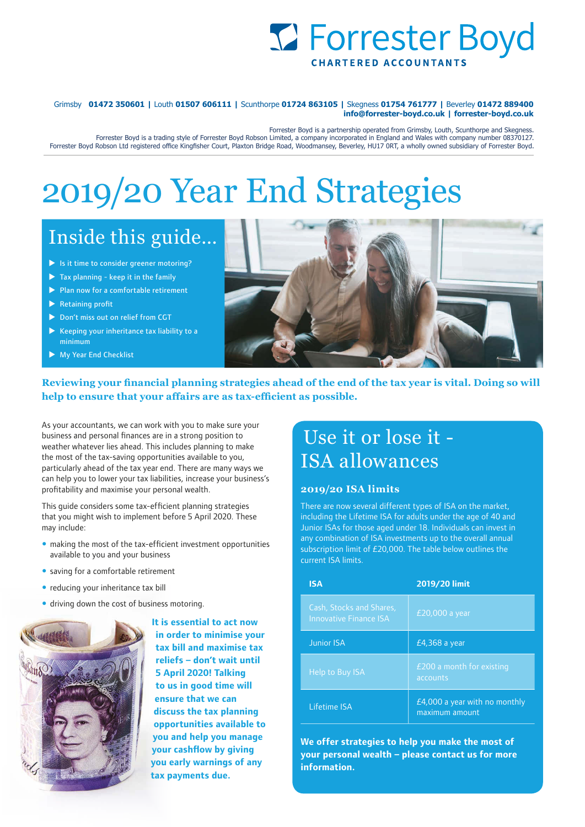

**info@forrester-boyd.co.uk | forrester-boyd.co.uk** Grimsby **01472 350601 |** Louth **01507 606111 |** Scunthorpe **01724 863105 |** Skegness **01754 761777 |** Beverley **01472 889400**

Forrester Boyd is a partnership operated from Grimsby, Louth, Scunthorpe and Skegness. Forrester Boyd Robson Ltd registered office Kingfisher Court, Plaxton Bridge Road, Woodmansey, Beverley, HU17 0RT, a wholly owned subsidiary of Forrester Boyd. Forrester Boyd is a trading style of Forrester Boyd Robson Limited, a company incorporated in England and Wales with company number 08370127.

# 2019/20 Year End Strategies

# Inside this guide…

- $\blacktriangleright$  Is it time to consider greener motoring?
- $\blacktriangleright$  Tax planning keep it in the family
- $\blacktriangleright$  Plan now for a comfortable retirement
- $\blacktriangleright$  Retaining profit
- Don't miss out on relief from CGT
- $\blacktriangleright$  Keeping your inheritance tax liability to a minimum
- $\blacktriangleright$  My Year End Checklist



**Reviewing your financial planning strategies ahead of the end of the tax year is vital. Doing so will help to ensure that your affairs are as tax-efficient as possible.**

As your accountants, we can work with you to make sure your business and personal finances are in a strong position to weather whatever lies ahead. This includes planning to make the most of the tax-saving opportunities available to you, particularly ahead of the tax year end. There are many ways we can help you to lower your tax liabilities, increase your business's profitability and maximise your personal wealth.

This guide considers some tax-efficient planning strategies that you might wish to implement before 5 April 2020. These may include:

- making the most of the tax-efficient investment opportunities available to you and your business
- saving for a comfortable retirement
- reducing your inheritance tax bill
- driving down the cost of business motoring.



**It is essential to act now in order to minimise your tax bill and maximise tax reliefs – don't wait until 5 April 2020! Talking to us in good time will ensure that we can discuss the tax planning opportunities available to you and help you manage your cashflow by giving you early warnings of any tax payments due.** 

### Use it or lose it - ISA allowances

#### **2019/20 ISA limits**

There are now several different types of ISA on the market, including the Lifetime ISA for adults under the age of 40 and Junior ISAs for those aged under 18. Individuals can invest in any combination of ISA investments up to the overall annual subscription limit of £20,000. The table below outlines the current ISA limits.

| <b>ISA</b>                                                | 2019/20 limit                                   |
|-----------------------------------------------------------|-------------------------------------------------|
| Cash, Stocks and Shares,<br><b>Innovative Finance ISA</b> | $E20,000$ a year                                |
| <b>Junior ISA</b>                                         | £4,368 a year                                   |
| Help to Buy ISA                                           | £200 a month for existing<br>accounts           |
| Lifetime ISA                                              | £4,000 a year with no monthly<br>maximum amount |

**We offer strategies to help you make the most of your personal wealth – please contact us for more information.**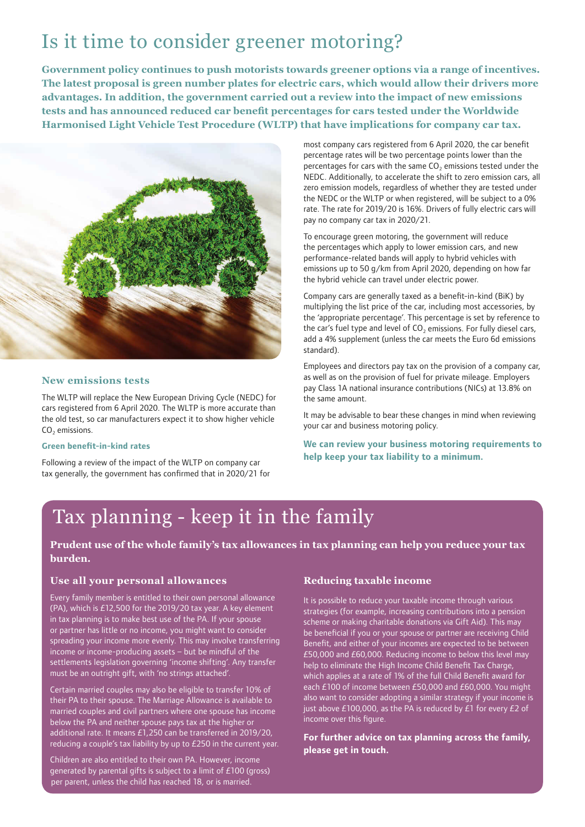# Is it time to consider greener motoring?

**Government policy continues to push motorists towards greener options via a range of incentives. The latest proposal is green number plates for electric cars, which would allow their drivers more advantages. In addition, the government carried out a review into the impact of new emissions tests and has announced reduced car benefit percentages for cars tested under the Worldwide Harmonised Light Vehicle Test Procedure (WLTP) that have implications for company car tax.**



#### **New emissions tests**

The WLTP will replace the New European Driving Cycle (NEDC) for cars registered from 6 April 2020. The WLTP is more accurate than the old test, so car manufacturers expect it to show higher vehicle CO<sub>2</sub> emissions.

#### **Green benefit-in-kind rates**

Following a review of the impact of the WLTP on company car tax generally, the government has confirmed that in 2020/21 for most company cars registered from 6 April 2020, the car benefit percentage rates will be two percentage points lower than the percentages for cars with the same  $CO<sub>2</sub>$  emissions tested under the NEDC. Additionally, to accelerate the shift to zero emission cars, all zero emission models, regardless of whether they are tested under the NEDC or the WLTP or when registered, will be subject to a 0% rate. The rate for 2019/20 is 16%. Drivers of fully electric cars will pay no company car tax in 2020/21.

To encourage green motoring, the government will reduce the percentages which apply to lower emission cars, and new performance-related bands will apply to hybrid vehicles with emissions up to 50 g/km from April 2020, depending on how far the hybrid vehicle can travel under electric power.

Company cars are generally taxed as a benefit-in-kind (BiK) by multiplying the list price of the car, including most accessories, by the 'appropriate percentage'. This percentage is set by reference to the car's fuel type and level of  $CO<sub>2</sub>$  emissions. For fully diesel cars, add a 4% supplement (unless the car meets the Euro 6d emissions standard).

Employees and directors pay tax on the provision of a company car, as well as on the provision of fuel for private mileage. Employers pay Class 1A national insurance contributions (NICs) at 13.8% on the same amount.

It may be advisable to bear these changes in mind when reviewing your car and business motoring policy.

**We can review your business motoring requirements to help keep your tax liability to a minimum.** 

# Tax planning - keep it in the family

#### **Prudent use of the whole family's tax allowances in tax planning can help you reduce your tax burden.**

#### **Use all your personal allowances**

Every family member is entitled to their own personal allowance (PA), which is £12,500 for the 2019/20 tax year. A key element in tax planning is to make best use of the PA. If your spouse or partner has little or no income, you might want to consider spreading your income more evenly. This may involve transferring income or income-producing assets – but be mindful of the settlements legislation governing 'income shifting'. Any transfer must be an outright gift, with 'no strings attached'.

Certain married couples may also be eligible to transfer 10% of their PA to their spouse. The Marriage Allowance is available to married couples and civil partners where one spouse has income below the PA and neither spouse pays tax at the higher or additional rate. It means £1,250 can be transferred in 2019/20, reducing a couple's tax liability by up to  $E250$  in the current year.

Children are also entitled to their own PA. However, income generated by parental gifts is subject to a limit of £100 (gross) per parent, unless the child has reached 18, or is married.

#### **Reducing taxable income**

It is possible to reduce your taxable income through various strategies (for example, increasing contributions into a pension scheme or making charitable donations via Gift Aid). This may be beneficial if you or your spouse or partner are receiving Child Benefit, and either of your incomes are expected to be between £50,000 and £60,000. Reducing income to below this level may help to eliminate the High Income Child Benefit Tax Charge, which applies at a rate of 1% of the full Child Benefit award for each £100 of income between £50,000 and £60,000. You might also want to consider adopting a similar strategy if your income is just above £100,000, as the PA is reduced by £1 for every £2 of income over this figure.

**For further advice on tax planning across the family, please get in touch.**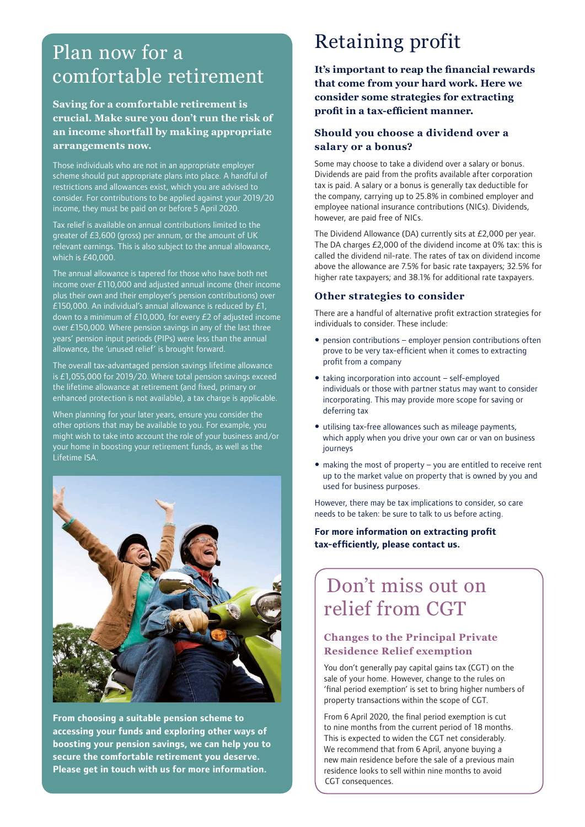## Plan now for a comfortable retirement

### **Saving for a comfortable retirement is crucial. Make sure you don't run the risk of an income shortfall by making appropriate arrangements now.**

Those individuals who are not in an appropriate employer scheme should put appropriate plans into place. A handful of restrictions and allowances exist, which you are advised to consider. For contributions to be applied against your 2019/20 income, they must be paid on or before 5 April 2020.

Tax relief is available on annual contributions limited to the greater of £3,600 (gross) per annum, or the amount of UK relevant earnings. This is also subject to the annual allowance, which is  $f40,000$ .

The annual allowance is tapered for those who have both net income over £110,000 and adjusted annual income (their income plus their own and their employer's pension contributions) over £150,000. An individual's annual allowance is reduced by £1, down to a minimum of £10,000, for every £2 of adjusted income over £150,000. Where pension savings in any of the last three years' pension input periods (PIPs) were less than the annual allowance, the 'unused relief' is brought forward.

The overall tax-advantaged pension savings lifetime allowance is £1,055,000 for 2019/20. Where total pension savings exceed the lifetime allowance at retirement (and fixed, primary or enhanced protection is not available), a tax charge is applicable.

When planning for your later years, ensure you consider the other options that may be available to you. For example, you might wish to take into account the role of your business and/or your home in boosting your retirement funds, as well as the Lifetime ISA.



**From choosing a suitable pension scheme to accessing your funds and exploring other ways of boosting your pension savings, we can help you to secure the comfortable retirement you deserve. Please get in touch with us for more information.** 

# Retaining profit

**It's important to reap the financial rewards that come from your hard work. Here we consider some strategies for extracting profit in a tax-efficient manner.**

### **Should you choose a dividend over a salary or a bonus?**

Some may choose to take a dividend over a salary or bonus. Dividends are paid from the profits available after corporation tax is paid. A salary or a bonus is generally tax deductible for the company, carrying up to 25.8% in combined employer and employee national insurance contributions (NICs). Dividends, however, are paid free of NICs.

The Dividend Allowance (DA) currently sits at £2,000 per year. The DA charges £2,000 of the dividend income at 0% tax: this is called the dividend nil-rate. The rates of tax on dividend income above the allowance are 7.5% for basic rate taxpayers; 32.5% for higher rate taxpayers; and 38.1% for additional rate taxpayers.

#### **Other strategies to consider**

There are a handful of alternative profit extraction strategies for individuals to consider. These include:

- pension contributions employer pension contributions often prove to be very tax-efficient when it comes to extracting profit from a company
- taking incorporation into account self-employed individuals or those with partner status may want to consider incorporating. This may provide more scope for saving or deferring tax
- utilising tax-free allowances such as mileage payments, which apply when you drive your own car or van on business journeys
- making the most of property you are entitled to receive rent up to the market value on property that is owned by you and used for business purposes.

However, there may be tax implications to consider, so care needs to be taken: be sure to talk to us before acting.

**For more information on extracting profit tax-efficiently, please contact us.** 

# Don't miss out on relief from CGT

### **Changes to the Principal Private Residence Relief exemption**

You don't generally pay capital gains tax (CGT) on the sale of your home. However, change to the rules on 'final period exemption' is set to bring higher numbers of property transactions within the scope of CGT.

From 6 April 2020, the final period exemption is cut to nine months from the current period of 18 months. This is expected to widen the CGT net considerably. We recommend that from 6 April, anyone buying a new main residence before the sale of a previous main residence looks to sell within nine months to avoid CGT consequences.